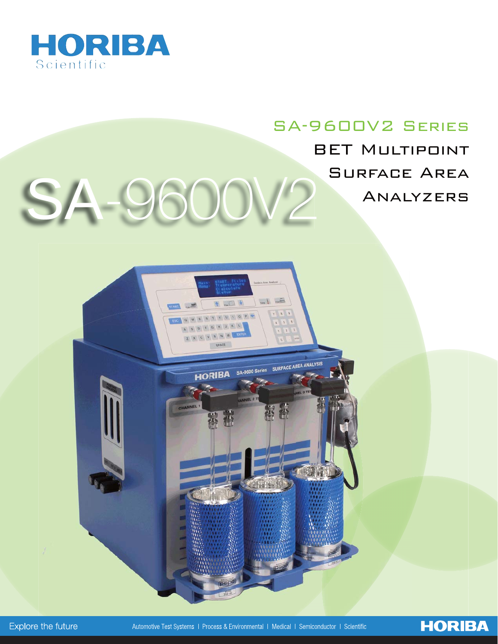

# SA-9600V2 Series BET Multipoint SA 9600V2<sup>SURFACE AREA</sup>

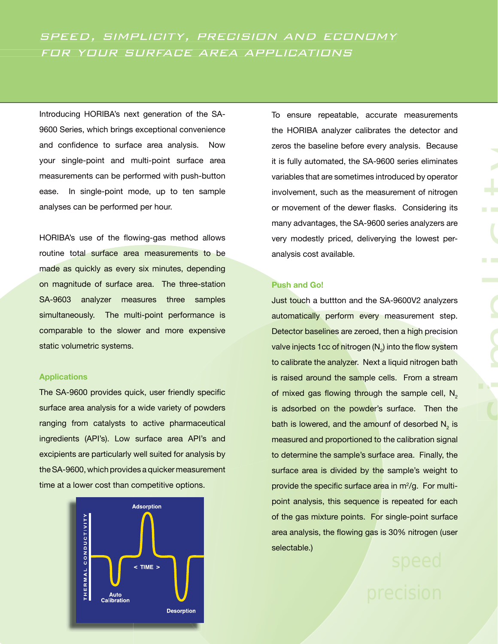Introducing HORIBA's next generation of the SA-9600 Series, which brings exceptional convenience and confidence to surface area analysis. Now your single-point and multi-point surface area measurements can be performed with push-button ease. In single-point mode, up to ten sample analyses can be performed per hour.

HORIBA's use of the flowing-gas method allows routine total surface area measurements to be made as quickly as every six minutes, depending on magnitude of surface area. The three-station SA-9603 analyzer measures three samples simultaneously. The multi-point performance is comparable to the slower and more expensive static volumetric systems.

#### **Applications**

The SA-9600 provides quick, user friendly specific surface area analysis for a wide variety of powders ranging from catalysts to active pharmaceutical ingredients (API's). Low surface area API's and excipients are particularly well suited for analysis by the SA-9600, which provides a quicker measurement time at a lower cost than competitive options.



To ensure repeatable, accurate measurements the HORIBA analyzer calibrates the detector and zeros the baseline before every analysis. Because it is fully automated, the SA-9600 series eliminates variables that are sometimes introduced by operator involvement, such as the measurement of nitrogen or movement of the dewer flasks. Considering its many advantages, the SA-9600 series analyzers are very modestly priced, deliverying the lowest peranalysis cost available.

### **Push and Go!**

Just touch a buttton and the SA-9600V2 analyzers automatically perform every measurement step. Detector baselines are zeroed, then a high precision valve injects 1cc of nitrogen (N<sub>2</sub>) into the flow system to calibrate the analyzer. Next a liquid nitrogen bath is raised around the sample cells. From a stream of mixed gas flowing through the sample cell,  $N<sub>2</sub>$ is adsorbed on the powder's surface. Then the bath is lowered, and the amounf of desorbed  $\mathsf{N}_2$  is measured and proportioned to the calibration signal to determine the sample's surface area. Finally, the surface area is divided by the sample's weight to provide the specific surface area in  $m^2/g$ . For multipoint analysis, this sequence is repeated for each of the gas mixture points. For single-point surface area analysis, the flowing gas is 30% nitrogen (user selectable.)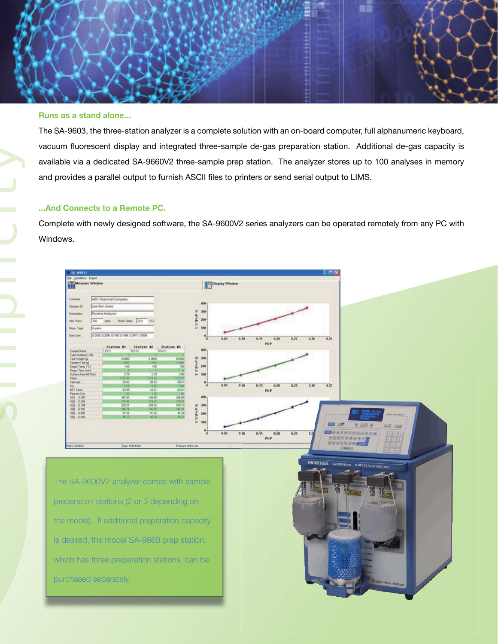

#### **Runs as a stand alone...**

The SA-9603, the three-station analyzer is a complete solution with an on-board computer, full alphanumeric keyboard, vacuum fluorescent display and integrated three-sample de-gas preparation station. Additional de-gas capacity is available via a dedicated SA-9660V2 three-sample prep station. The analyzer stores up to 100 analyses in memory and provides a parallel output to furnish ASCII files to printers or send serial output to LIMS.

#### **...And Connects to a Remote PC.**

Complete with newly designed software, the SA-9600V2 series analyzers can be operated remotely from any PC with Windows.